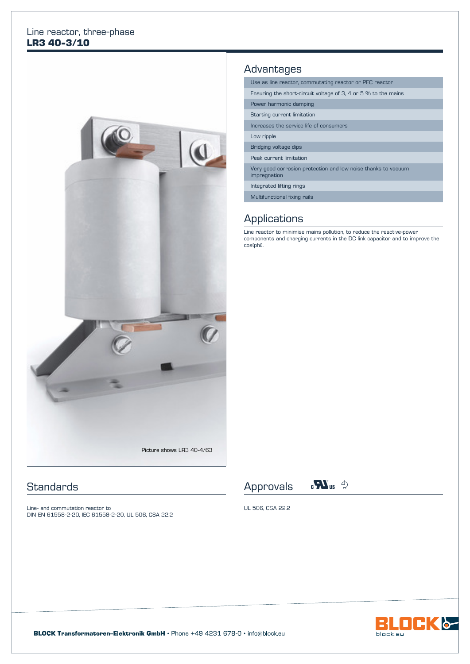#### Line reactor, three-phase **LR3 40-3/10**



#### **Standards**

Line- and commutation reactor to DIN EN 61558-2-20, IEC 61558-2-20, UL 506, CSA 22.2

## **Advantages**

Use as line reactor, commutating reactor or PFC reactor

Ensuring the short-circuit voltage of 3, 4 or 5 % to the mains

Power harmonic damping

Starting current limitation

Increases the service life of consumers

Low ripple

Bridging voltage dips

Peak current limitation

Very good corrosion protection and low noise thanks to vacuum impregnation

Integrated lifting rings

Multifunctional fixing rails

## **Applications**

Line reactor to minimise mains pollution, to reduce the reactive-power components and charging currents in the DC link capacitor and to improve the cos(phi).





UL 506, CSA 22.2